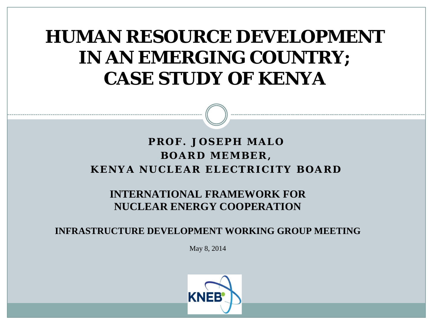#### **HUMAN RESOURCE DEVELOPMENT IN AN EMERGING COUNTRY; CASE STUDY OF KENYA**

#### **PROF. JOSEPH MALO BOARD MEMBER, KENYA NUCLEAR ELECTRICITY BOARD**

#### **INTERNATIONAL FRAMEWORK FOR NUCLEAR ENERGY COOPERATION**

**INFRASTRUCTURE DEVELOPMENT WORKING GROUP MEETING**

May 8, 2014

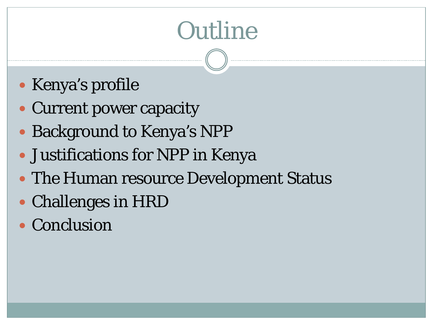# **Outline**

- Kenya's profile
- Current power capacity
- Background to Kenya's NPP
- Justifications for NPP in Kenya
- The Human resource Development Status
- Challenges in HRD
- Conclusion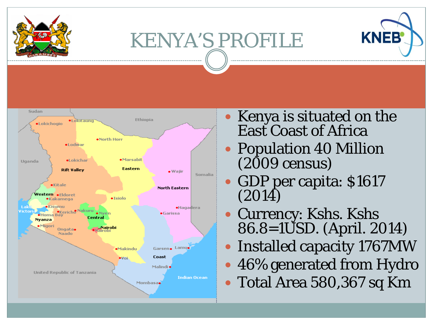

# KENYA'S PROFILE





- Kenya is situated on the East Coast of Africa
- Population 40 Million (2009 census)
- GDP per capita: \$1617 (2014)
- Currency: Kshs. Kshs 86.8=1USD. (April. 2014)
- Installed capacity 1767MW
- 46% generated from Hydro
- Total Area 580,367 sq Km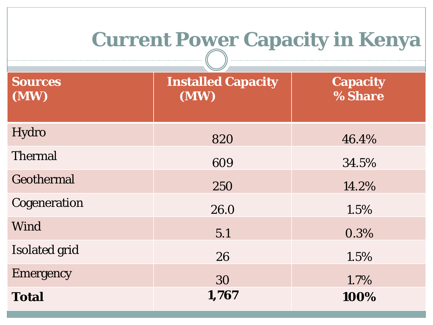# **Current Power Capacity in Kenya**

| <b>Sources</b><br>(MW) | <b>Installed Capacity</b><br>(MW) | <b>Capacity</b><br>% Share |
|------------------------|-----------------------------------|----------------------------|
| Hydro                  | 820                               | 46.4%                      |
| <b>Thermal</b>         | 609                               | 34.5%                      |
| Geothermal             | 250                               | 14.2%                      |
| Cogeneration           | 26.0                              | 1.5%                       |
| Wind                   | 5.1                               | 0.3%                       |
| <b>Isolated grid</b>   | 26                                | 1.5%                       |
| <b>Emergency</b>       | 30                                | 1.7%                       |
| <b>Total</b>           | 1,767                             | 100%                       |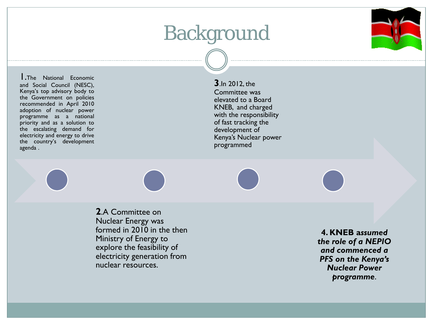#### Background



1.The National Economic and Social Council (NESC), Kenya's top advisory body to the Government on policies recommended in April 2010 adoption of nuclear power programme as a national priority and as a solution to the escalating demand for electricity and energy to drive the country's development agenda .

**3**.In 2012, the Committee was elevated to a Board KNEB, and charged with the responsibility of fast tracking the development of Kenya's Nuclear power programmed

**2**.A Committee on Nuclear Energy was formed in 2010 in the then Ministry of Energy to explore the feasibility of electricity generation from nuclear resources.

**4. KNEB a***ssumed the role of a NEPIO and commenced a PFS on the Kenya's Nuclear Power programme*.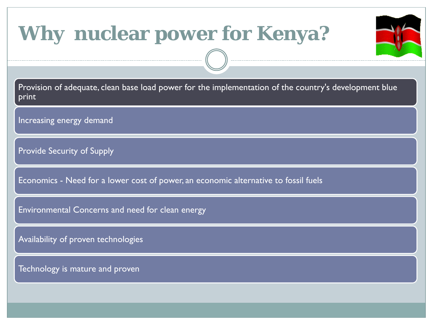### **Why nuclear power for Kenya?**

Provision of adequate, clean base load power for the implementation of the country's development blue print

Increasing energy demand

Provide Security of Supply

Economics - Need for a lower cost of power, an economic alternative to fossil fuels

Environmental Concerns and need for clean energy

Availability of proven technologies

Technology is mature and proven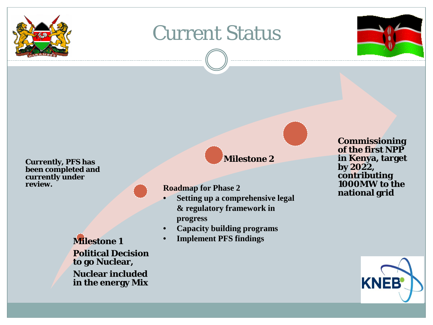

#### Current Status



**Currently, PFS has been completed and currently under review.**

> **Milestone 1 Political Decision to go Nuclear, Nuclear included in the energy Mix**

#### **Milestone 2**

- **Setting up a comprehensive legal & regulatory framework in progress**
- **Capacity building programs**
- **Implement PFS findings**

**Commissioning of the first NPP in Kenya, target by 2022, contributing 1000MW to the Roadmap for Phase 2**<br>**national grid** 

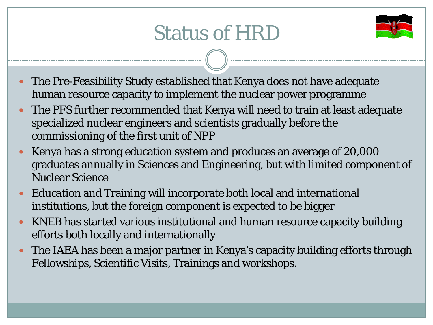## Status of HRD



- The Pre-Feasibility Study established that Kenya does not have adequate human resource capacity to implement the nuclear power programme
- The PFS further recommended that Kenya will need to train at least adequate specialized nuclear engineers and scientists gradually before the commissioning of the first unit of NPP
- Kenya has a strong education system and produces an average of 20,000 graduates annually in Sciences and Engineering, but with limited component of Nuclear Science
- Education and Training will incorporate both local and international institutions, but the foreign component is expected to be bigger
- KNEB has started various institutional and human resource capacity building efforts both locally and internationally
- The IAEA has been a major partner in Kenya's capacity building efforts through Fellowships, Scientific Visits, Trainings and workshops.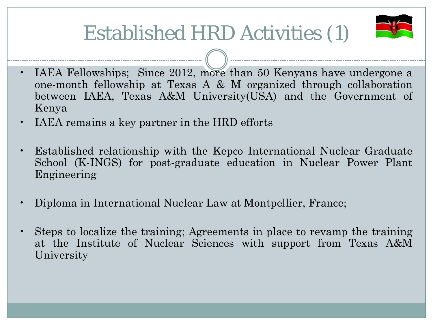## Established HRD Activities (1)



- IAEA Fellowships; Since 2012, more than 50 Kenyans have undergone a one-month fellowship at Texas A & M organized through collaboration between IAEA, Texas A&M University(USA) and the Government of Kenya
- IAEA remains a key partner in the HRD efforts
- Established relationship with the Kepco International Nuclear Graduate School (K-INGS) for post-graduate education in Nuclear Power Plant Engineering
- Diploma in International Nuclear Law at Montpellier, France;
- Steps to localize the training; Agreements in place to revamp the training at the Institute of Nuclear Sciences with support from Texas A&M University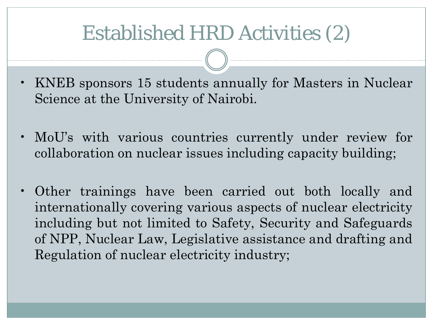#### Established HRD Activities (2)

- KNEB sponsors 15 students annually for Masters in Nuclear Science at the University of Nairobi.
- MoU's with various countries currently under review for collaboration on nuclear issues including capacity building;
- Other trainings have been carried out both locally and internationally covering various aspects of nuclear electricity including but not limited to Safety, Security and Safeguards of NPP, Nuclear Law, Legislative assistance and drafting and Regulation of nuclear electricity industry;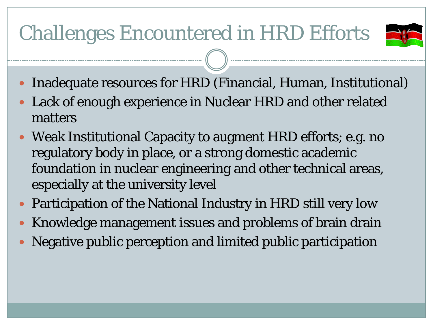## Challenges Encountered in HRD Efforts



- Inadequate resources for HRD (Financial, Human, Institutional)
- Lack of enough experience in Nuclear HRD and other related matters
- Weak Institutional Capacity to augment HRD efforts; e.g. no regulatory body in place, or a strong domestic academic foundation in nuclear engineering and other technical areas, especially at the university level
- Participation of the National Industry in HRD still very low
- Knowledge management issues and problems of brain drain
- Negative public perception and limited public participation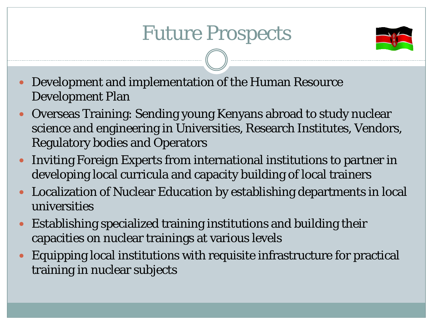#### Future Prospects



- Development and implementation of the Human Resource Development Plan
- Overseas Training: Sending young Kenyans abroad to study nuclear science and engineering in Universities, Research Institutes, Vendors, Regulatory bodies and Operators
- Inviting Foreign Experts from international institutions to partner in developing local curricula and capacity building of local trainers
- Localization of Nuclear Education by establishing departments in local universities
- Establishing specialized training institutions and building their capacities on nuclear trainings at various levels
- Equipping local institutions with requisite infrastructure for practical training in nuclear subjects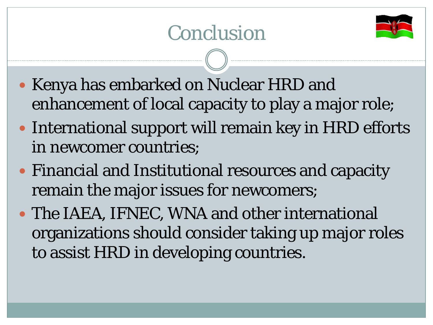

- Kenya has embarked on Nuclear HRD and enhancement of local capacity to play a major role;
- International support will remain key in HRD efforts in newcomer countries;
- Financial and Institutional resources and capacity remain the major issues for newcomers;
- The IAEA, IFNEC, WNA and other international organizations should consider taking up major roles to assist HRD in developing countries.